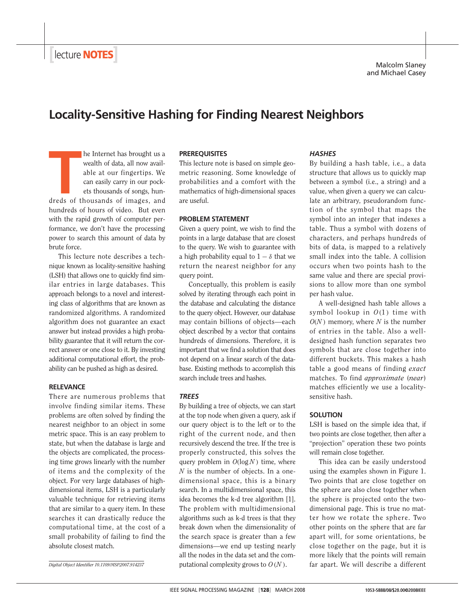# **Locality-Sensitive Hashing for Finding Nearest Neighbors**

**THE SET AS SET AS SET ASSESS**<br>
THE MOST WE ALLEND WAS ARRESTED AS A CONTROLLER CAN CALLEND TO CALLEND A CALLEND AND THAT AS A CONTROLLER SUBJEM OF A CONTROLLER SUPPOSE A SMALLEND OF THE SET OF THE SMALLEND OF THE SMALL OF he Internet has brought us a wealth of data, all now available at our fingertips. We can easily carry in our pockets thousands of songs, hunhundreds of hours of video. But even with the rapid growth of computer performance, we don't have the processing power to search this amount of data by brute force.

This lecture note describes a technique known as locality-sensitive hashing (LSH) that allows one to quickly find similar entries in large databases. This approach belongs to a novel and interesting class of algorithms that are known as randomized algorithms. A randomized algorithm does not guarantee an exact answer but instead provides a high probability guarantee that it will return the correct answer or one close to it. By investing additional computational effort, the probability can be pushed as high as desired.

## **RELEVANCE**

There are numerous problems that involve finding similar items. These problems are often solved by finding the nearest neighbor to an object in some metric space. This is an easy problem to state, but when the database is large and the objects are complicated, the processing time grows linearly with the number of items and the complexity of the object. For very large databases of highdimensional items, LSH is a particularly valuable technique for retrieving items that are similar to a query item. In these searches it can drastically reduce the computational time, at the cost of a small probability of failing to find the absolute closest match.

#### **PREREQUISITES**

This lecture note is based on simple geometric reasoning. Some knowledge of probabilities and a comfort with the mathematics of high-dimensional spaces are useful.

## **PROBLEM STATEMENT**

Given a query point, we wish to find the points in a large database that are closest to the query. We wish to guarantee with a high probability equal to  $1 - \delta$  that we return the nearest neighbor for any query point.

Conceptually, this problem is easily solved by iterating through each point in the database and calculating the distance to the query object. However, our database may contain billions of objects—each object described by a vector that contains hundreds of dimensions. Therefore, it is important that we find a solution that does not depend on a linear search of the database. Existing methods to accomplish this search include trees and hashes.

## *TREES*

By building a tree of objects, we can start at the top node when given a query, ask if our query object is to the left or to the right of the current node, and then recursively descend the tree. If the tree is properly constructed, this solves the query problem in  $O(log N)$  time, where *N* is the number of objects. In a onedimensional space, this is a binary search. In a multidimensional space, this idea becomes the k-d tree algorithm [1]. The problem with multidimensional algorithms such as k-d trees is that they break down when the dimensionality of the search space is greater than a few dimensions—we end up testing nearly all the nodes in the data set and the computational complexity grows to  $O(N)$ .

# *HASHES*

By building a hash table, i.e., a data structure that allows us to quickly map between a symbol (i.e., a string) and a value, when given a query we can calculate an arbitrary, pseudorandom function of the symbol that maps the symbol into an integer that indexes a table. Thus a symbol with dozens of characters, and perhaps hundreds of bits of data, is mapped to a relatively small index into the table. A collision occurs when two points hash to the same value and there are special provisions to allow more than one symbol per hash value.

A well-designed hash table allows a symbol lookup in  $O(1)$  time with *O*(*N* ) memory, where *N* is the number of entries in the table. Also a welldesigned hash function separates two symbols that are close together into different buckets. This makes a hash table a good means of finding *exact* matches. To find *approximate* (*near*) matches efficiently we use a localitysensitive hash.

# **SOLUTION**

LSH is based on the simple idea that, if two points are close together, then after a "projection" operation these two points will remain close together.

This idea can be easily understood using the examples shown in Figure 1. Two points that are close together on the sphere are also close together when the sphere is projected onto the twodimensional page. This is true no matter how we rotate the sphere. Two other points on the sphere that are far apart will, for some orientations, be close together on the page, but it is more likely that the points will remain far apart. We will describe a different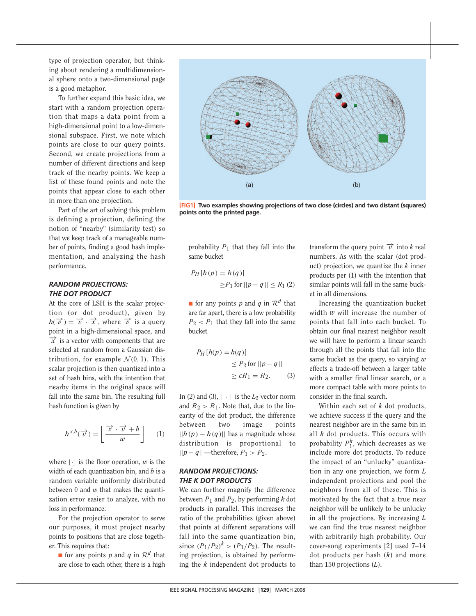type of projection operator, but thinking about rendering a multidimensional sphere onto a two-dimensional page is a good metaphor.

To further expand this basic idea, we start with a random projection operation that maps a data point from a high-dimensional point to a low-dimensional subspace. First, we note which points are close to our query points. Second, we create projections from a number of different directions and keep track of the nearby points. We keep a list of these found points and note the points that appear close to each other in more than one projection.

Part of the art of solving this problem is defining a projection, defining the notion of "nearby" (similarity test) so that we keep track of a manageable number of points, finding a good hash implementation, and analyzing the hash performance.

# *RANDOM PROJECTIONS: THE DOT PRODUCT*

At the core of LSH is the scalar projection (or dot product), given by  $h(\vec{v}) = \vec{v} \cdot \vec{x}$ , where  $\vec{v}$  is a query point in a high-dimensional space, and  $\vec{x}$  is a vector with components that are selected at random from a Gaussian distribution, for example  $\mathcal{N}(0, 1)$ . This scalar projection is then quantized into a set of hash bins, with the intention that nearby items in the original space will fall into the same bin. The resulting full hash function is given by

$$
h^{x,b}(\overrightarrow{v}) = \left\lfloor \frac{\overrightarrow{x} \cdot \overrightarrow{v} + b}{w} \right\rfloor \qquad (1)
$$

where  $|\cdot|$  is the floor operation,  $w$  is the width of each quantization bin, and *b* is a random variable uniformly distributed between 0 and *w* that makes the quantization error easier to analyze, with no loss in performance.

For the projection operator to serve our purposes, it must project nearby points to positions that are close together. This requires that:

**■** for any points *p* and *q* in  $\mathcal{R}^d$  that are close to each other, there is a high



**[FIG1] Two examples showing projections of two close (circles) and two distant (squares) points onto the printed page.**

probability  $P_1$  that they fall into the same bucket

$$
P_H[h(p) = h(q)]
$$
  
\n
$$
\ge P_1 \text{ for } ||p - q|| \le R_1 (2)
$$

**If** for any points *p* and *q* in  $\mathcal{R}^d$  that are far apart, there is a low probability  $P_2$  <  $P_1$  that they fall into the same bucket

$$
P_H[h(p) = h(q)]
$$
  
\n
$$
\leq P_2 \text{ for } ||p - q||
$$
  
\n
$$
\geq cR_1 = R_2.
$$
 (3)

In (2) and (3),  $|| \cdot ||$  is the  $L_2$  vector norm and  $R_2 > R_1$ . Note that, due to the linearity of the dot product, the difference between two image points  $||h(p) - h(q)||$  has a magnitude whose distribution is proportional to ||*p*− *q*||—therefore, *P*<sup>1</sup> > *P*2.

# *RANDOM PROJECTIONS: THE K DOT PRODUCTS*

We can further magnify the difference between  $P_1$  and  $P_2$ , by performing  $k$  dot products in parallel. This increases the ratio of the probabilities (given above) that points at different separations will fall into the same quantization bin, since  $(P_1/P_2)^k$  >  $(P_1/P_2)$ . The resulting projection, is obtained by performing the *k* independent dot products to transform the query point  $\vec{v}$  into *k* real numbers. As with the scalar (dot product) projection, we quantize the *k* inner products per (1) with the intention that similar points will fall in the same bucket in all dimensions.

Increasing the quantization bucket width *w* will increase the number of points that fall into each bucket. To obtain our final nearest neighbor result we will have to perform a linear search through all the points that fall into the same bucket as the query, so varying *w* effects a trade-off between a larger table with a smaller final linear search, or a more compact table with more points to consider in the final search.

Within each set of *k* dot products, we achieve success if the query and the nearest neighbor are in the same bin in all *k* dot products. This occurs with probability  $P_1^k$ , which decreases as we include more dot products. To reduce the impact of an "unlucky" quantization in any one projection, we form *L* independent projections and pool the neighbors from all of these. This is motivated by the fact that a true near neighbor will be unlikely to be unlucky in all the projections. By increasing *L* we can find the true nearest neighbor with arbitrarily high probability. Our cover-song experiments [2] used 7–14 dot products per hash (*k*) and more than 150 projections (*L*).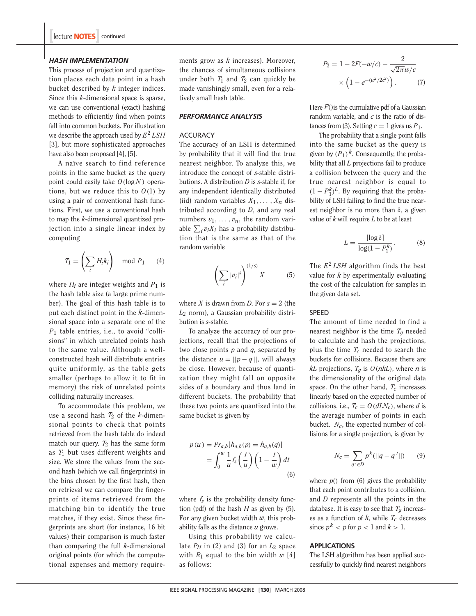#### *HASH IMPLEMENTATION*

This process of projection and quantization places each data point in a hash bucket described by *k* integer indices. Since this *k*-dimensional space is sparse, we can use conventional (exact) hashing methods to efficiently find when points fall into common buckets. For illustration we describe the approach used by *E*<sup>2</sup> *LSH* [3], but more sophisticated approaches have also been proposed [4], [5].

A naïve search to find reference points in the same bucket as the query point could easily take  $O(log N)$  operations, but we reduce this to  $O(1)$  by using a pair of conventional hash functions. First, we use a conventional hash to map the *k*-dimensional quantized projection into a single linear index by computing

$$
T_1 = \left(\sum_i H_i k_i\right) \mod P_1 \qquad (4)
$$

where  $H_i$  are integer weights and  $P_1$  is the hash table size (a large prime number). The goal of this hash table is to put each distinct point in the *k*-dimensional space into a separate one of the *P*<sup>1</sup> table entries, i.e., to avoid "collisions" in which unrelated points hash to the same value. Although a wellconstructed hash will distribute entries quite uniformly, as the table gets smaller (perhaps to allow it to fit in memory) the risk of unrelated points colliding naturally increases.

To accommodate this problem, we use a second hash  $T_2$  of the *k*-dimensional points to check that points retrieved from the hash table do indeed match our query.  $T_2$  has the same form as *T*<sup>1</sup> but uses different weights and size. We store the values from the second hash (which we call fingerprints) in the bins chosen by the first hash, then on retrieval we can compare the fingerprints of items retrieved from the matching bin to identify the true matches, if they exist. Since these fingerprints are short (for instance, 16 bit values) their comparison is much faster than comparing the full *k*-dimensional original points (for which the computational expenses and memory requirements grow as *k* increases). Moreover, the chances of simultaneous collisions under both  $T_1$  and  $T_2$  can quickly be made vanishingly small, even for a relatively small hash table.

#### *PERFORMANCE ANALYSIS*

#### **ACCURACY**

The accuracy of an LSH is determined by probability that it will find the true nearest neighbor. To analyze this, we introduce the concept of *s*-stable distributions. A distribution *D* is *s*-stable if, for any independent identically distributed (iid) random variables  $X_1, \ldots, X_n$  distributed according to *D*, and any real numbers  $v_1, \ldots, v_n$ , the random variable  $\sum_i v_i X_i$  has a probability distribution that is the same as that of the random variable

$$
\left(\sum_{i} |v_i|^s\right)^{(1/s)}X\tag{5}
$$

where *X* is drawn from *D*. For  $s = 2$  (the *L*<sup>2</sup> norm), a Gaussian probability distribution is *s*-stable.

To analyze the accuracy of our projections, recall that the projections of two close points *p* and *q*, separated by the distance  $u = ||p - q||$ , will always be close. However, because of quantization they might fall on opposite sides of a boundary and thus land in different buckets. The probability that these two points are quantized into the same bucket is given by

$$
p(u) = Pr_{a,b}[h_{a,b}(p)] = h_{a,b}(q)]
$$
  
= 
$$
\int_0^w \frac{1}{u} f_s\left(\frac{t}{u}\right) \left(1 - \frac{t}{w}\right) dt
$$
  
(6)

where  $f_s$  is the probability density function (pdf) of the hash *H* as given by (5). For any given bucket width *w*, this probability falls as the distance *u* grows.

Using this probability we calculate  $P_H$  in (2) and (3) for an  $L_2$  space with  $R_1$  equal to the bin width  $w$  [4] as follows:

$$
P_2 = 1 - 2F(-w/c) - \frac{2}{\sqrt{2\pi}w/c}
$$

$$
\times \left(1 - e^{-(w^2/2c^2)}\right). \tag{7}
$$

Here  $F()$  is the cumulative pdf of a Gaussian random variable, and *c* is the ratio of distances from (3). Setting  $c = 1$  gives us  $P_1$ .

The probability that a single point falls into the same bucket as the query is given by  $(P_1)^k$ . Consequently, the probability that all *L* projections fail to produce a collision between the query and the true nearest neighbor is equal to  $(1 - P_1^k)^L$ . By requiring that the probability of LSH failing to find the true nearest neighbor is no more than  $\delta$ , a given value of *k* will require *L* to be at least

$$
L = \frac{\left[\log \delta\right]}{\log(1 - P_1^k)}.\tag{8}
$$

The  $E^2$  *LSH* algorithm finds the best value for *k* by experimentally evaluating the cost of the calculation for samples in the given data set.

# SPEED

The amount of time needed to find a nearest neighbor is the time *Tg* needed to calculate and hash the projections, plus the time *Tc* needed to search the buckets for collisions. Because there are *kL* projections,  $T_q$  is  $O(nkL)$ , where *n* is the dimensionality of the original data space. On the other hand, *Tc* increases linearly based on the expected number of collisions, i.e.,  $T_c = O(dLN_c)$ , where *d* is the average number of points in each bucket. *Nc*, the expected number of collisions for a single projection, is given by

$$
N_c = \sum_{q' \in D} p^k (||q - q'||) \qquad (9)
$$

where  $p()$  from (6) gives the probability that each point contributes to a collision, and *D* represents all the points in the database. It is easy to see that  $T_q$  increases as a function of  $k$ , while  $T_c$  decreases since  $p^k < p$  for  $p < 1$  and  $k > 1$ .

#### **APPLICATIONS**

The LSH algorithm has been applied successfully to quickly find nearest neighbors